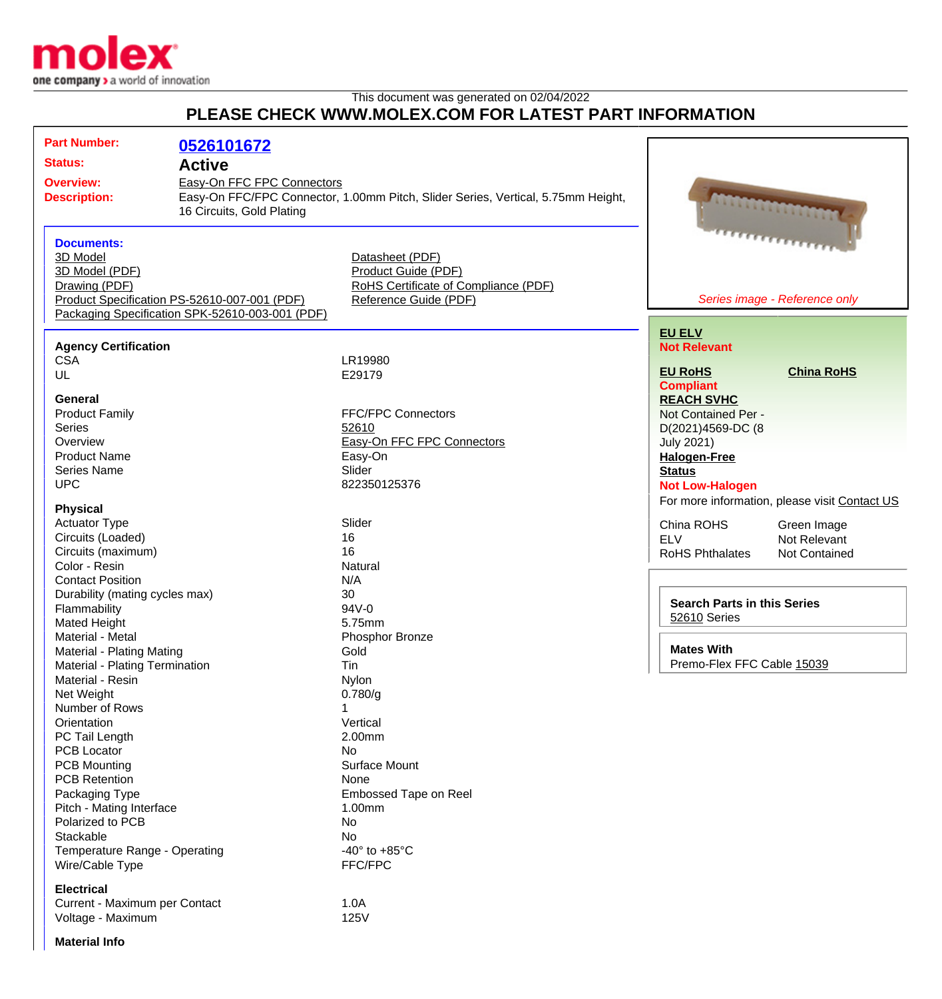

This document was generated on 02/04/2022

## **PLEASE CHECK WWW.MOLEX.COM FOR LATEST PART INFORMATION**

| <b>Part Number:</b>                                           | 0526101672                                      |                                                                                  |                                               |                      |
|---------------------------------------------------------------|-------------------------------------------------|----------------------------------------------------------------------------------|-----------------------------------------------|----------------------|
| <b>Status:</b>                                                | <b>Active</b>                                   |                                                                                  |                                               |                      |
| <b>Overview:</b>                                              | Easy-On FFC FPC Connectors                      |                                                                                  |                                               |                      |
| <b>Description:</b>                                           |                                                 | Easy-On FFC/FPC Connector, 1.00mm Pitch, Slider Series, Vertical, 5.75mm Height, |                                               |                      |
|                                                               | 16 Circuits, Gold Plating                       |                                                                                  |                                               |                      |
|                                                               |                                                 |                                                                                  | <b>ANTIONALISMENT</b>                         |                      |
|                                                               |                                                 |                                                                                  |                                               |                      |
| <b>Documents:</b>                                             |                                                 |                                                                                  |                                               |                      |
| 3D Model                                                      |                                                 | Datasheet (PDF)                                                                  |                                               |                      |
| 3D Model (PDF)                                                |                                                 | Product Guide (PDF)<br>RoHS Certificate of Compliance (PDF)                      |                                               |                      |
| Drawing (PDF)<br>Product Specification PS-52610-007-001 (PDF) |                                                 |                                                                                  | Series image - Reference only                 |                      |
|                                                               |                                                 | Reference Guide (PDF)                                                            |                                               |                      |
|                                                               | Packaging Specification SPK-52610-003-001 (PDF) |                                                                                  |                                               |                      |
|                                                               |                                                 |                                                                                  | <b>EU ELV</b>                                 |                      |
| <b>Agency Certification</b>                                   |                                                 |                                                                                  | <b>Not Relevant</b>                           |                      |
| <b>CSA</b>                                                    |                                                 | LR19980                                                                          |                                               |                      |
| UL                                                            |                                                 | E29179                                                                           | <b>EU RoHS</b>                                | <b>China RoHS</b>    |
|                                                               |                                                 |                                                                                  | <b>Compliant</b>                              |                      |
| General                                                       |                                                 |                                                                                  | <b>REACH SVHC</b>                             |                      |
| <b>Product Family</b>                                         |                                                 | <b>FFC/FPC Connectors</b>                                                        | Not Contained Per -                           |                      |
| <b>Series</b>                                                 |                                                 | 52610                                                                            | D(2021)4569-DC (8                             |                      |
| Overview                                                      |                                                 | Easy-On FFC FPC Connectors                                                       | <b>July 2021)</b>                             |                      |
| <b>Product Name</b>                                           |                                                 | Easy-On                                                                          | <b>Halogen-Free</b>                           |                      |
| <b>Series Name</b>                                            |                                                 | Slider                                                                           | <b>Status</b>                                 |                      |
| <b>UPC</b>                                                    |                                                 | 822350125376                                                                     | <b>Not Low-Halogen</b>                        |                      |
| <b>Physical</b>                                               |                                                 |                                                                                  | For more information, please visit Contact US |                      |
| <b>Actuator Type</b>                                          |                                                 | Slider                                                                           |                                               |                      |
| Circuits (Loaded)                                             |                                                 | 16                                                                               | China ROHS                                    | Green Image          |
| Circuits (maximum)                                            |                                                 | 16                                                                               | <b>ELV</b>                                    | Not Relevant         |
| Color - Resin                                                 |                                                 | Natural                                                                          | <b>RoHS Phthalates</b>                        | <b>Not Contained</b> |
| <b>Contact Position</b>                                       |                                                 | N/A                                                                              |                                               |                      |
|                                                               |                                                 | 30                                                                               |                                               |                      |
| Durability (mating cycles max)                                |                                                 | 94V-0                                                                            | <b>Search Parts in this Series</b>            |                      |
| Flammability<br>Mated Height                                  |                                                 | 5.75mm                                                                           | 52610 Series                                  |                      |
| Material - Metal                                              |                                                 | Phosphor Bronze                                                                  |                                               |                      |
| Material - Plating Mating                                     |                                                 | Gold                                                                             | <b>Mates With</b>                             |                      |
|                                                               |                                                 | Tin                                                                              | Premo-Flex FFC Cable 15039                    |                      |
| Material - Plating Termination<br>Material - Resin            |                                                 | Nylon                                                                            |                                               |                      |
| Net Weight                                                    |                                                 | 0.780/g                                                                          |                                               |                      |
| Number of Rows                                                |                                                 |                                                                                  |                                               |                      |
| Orientation                                                   |                                                 | Vertical                                                                         |                                               |                      |
| PC Tail Length                                                |                                                 | 2.00mm                                                                           |                                               |                      |
| PCB Locator                                                   |                                                 | No                                                                               |                                               |                      |
| <b>PCB Mounting</b>                                           |                                                 | Surface Mount                                                                    |                                               |                      |
| <b>PCB Retention</b>                                          |                                                 | None                                                                             |                                               |                      |
| Packaging Type                                                |                                                 | <b>Embossed Tape on Reel</b>                                                     |                                               |                      |
| Pitch - Mating Interface                                      |                                                 | 1.00mm                                                                           |                                               |                      |
| Polarized to PCB                                              |                                                 | No                                                                               |                                               |                      |
| Stackable                                                     |                                                 | No                                                                               |                                               |                      |
| Temperature Range - Operating                                 |                                                 | -40 $\degree$ to +85 $\degree$ C                                                 |                                               |                      |
| Wire/Cable Type                                               |                                                 | FFC/FPC                                                                          |                                               |                      |
|                                                               |                                                 |                                                                                  |                                               |                      |
| <b>Electrical</b>                                             |                                                 |                                                                                  |                                               |                      |
| Current - Maximum per Contact                                 |                                                 | 1.0A                                                                             |                                               |                      |
| Voltage - Maximum                                             |                                                 | 125V                                                                             |                                               |                      |

**Material Info**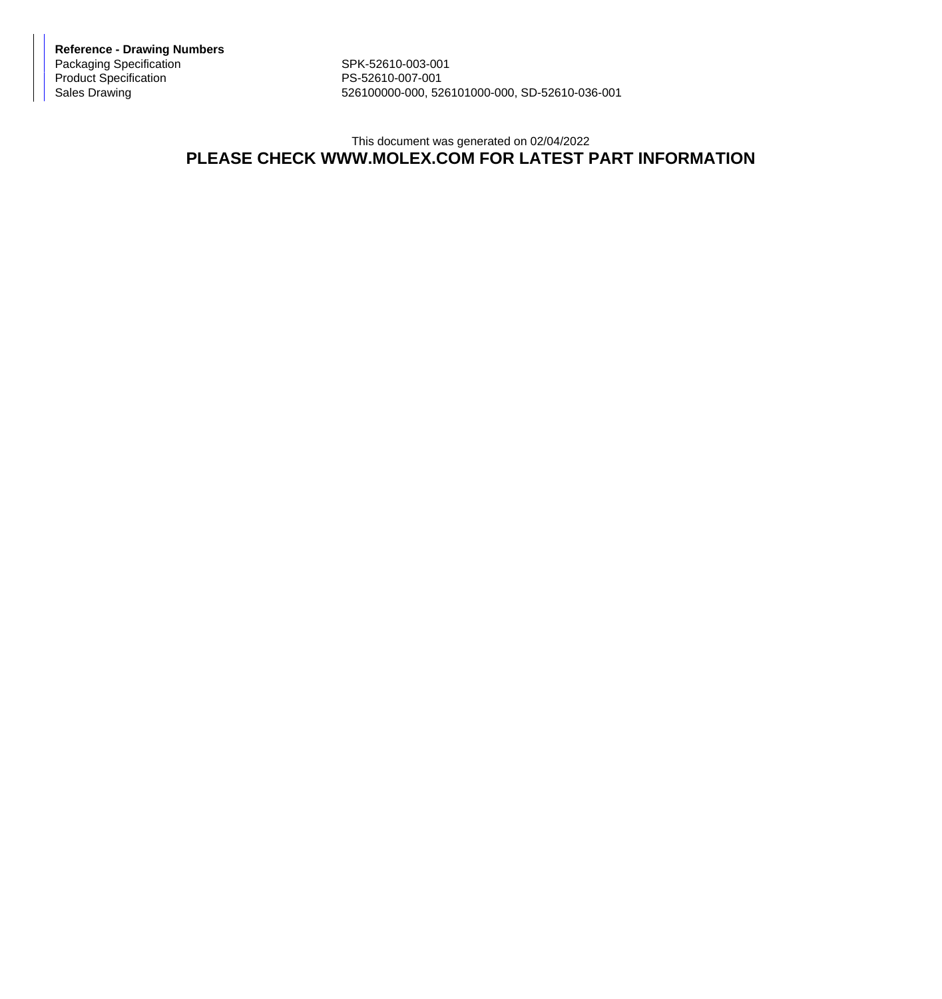**Reference - Drawing Numbers** Packaging Specification SPK-52610-003-001 Product Specification PS-52610-007-001

526100000-000, 526101000-000, SD-52610-036-001

## This document was generated on 02/04/2022 **PLEASE CHECK WWW.MOLEX.COM FOR LATEST PART INFORMATION**